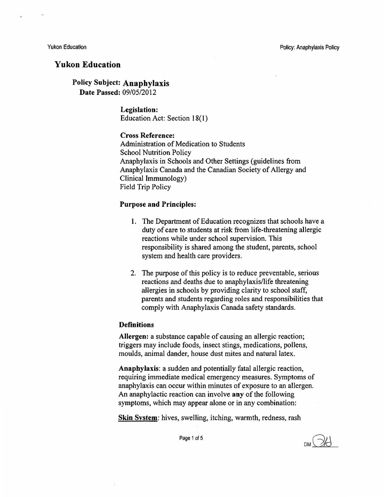# Yukon Education

## Policy SUbject: Anaphylaxis Date Passed: 09/05/2012

Legislation: Education Act: Section  $18(1)$ 

# Cross Reference:

Administration of Medication to Students School Nutrition Policy Anaphylaxis in Schools and Other Settings (guidelines from Anaphylaxis Canada and the Canadian Society of Allergy and Clinical Immunology) Field Trip Policy

## Purpose and Principles:

- I. The Department of Education recognizes that schools have a duty of care to students at risk from life-threatening allergic reactions while under school supervision. This responsibility is shared among the student, parents, school system and health care providers.
- 2. The purpose of this policy is to reduce preventable, serious reactions and deaths due to anaphylaxis/life threatening allergies in schools by providing clarity to school staff, parents and students regarding roles and responsibilities that comply with Anaphylaxis Canada safety standards.

# **Definitions**

Allergen: a substance capable of causing an allergic reaction; triggers may include foods, insect stings, medications, pollens, moulds, animal dander, house dust mites and natural latex.

Anaphylaxis: a sudden and potentially fatal allergic reaction, requiring immediate medical emergency measures. Symptoms of anaphylaxis can occur within minutes of exposure to an allergen. An anaphylactic reaction can involve any of the following symptoms, which may appear alone or in any combination:

Skin System: hives, swelling, itching, warmth, redness, rash

Page 1 of 5

 $\mathbb{R}(\rightarrow\mathbb{R})$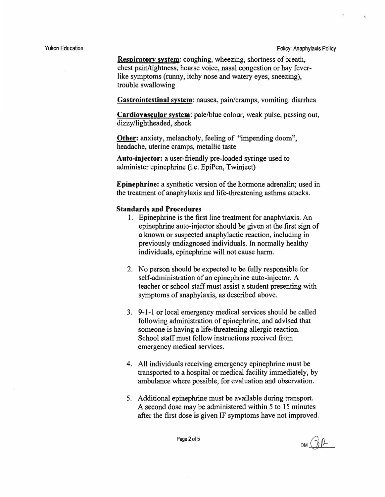### Yukon Education Policy: Anaphylaxis Policy

Respiratory system: coughing, wheezing, shortness of breath, chest pain/tightness, hoarse voice, nasal congestion or hay feverlike symptoms (runny, itchy nose and watery eyes, sneezing), trouble swallowing

Gastrointestinal system: nausea, pain/cramps, vomiting. diarrhea

Cardiovascular system: pale/blue colour, weak pulse, passing out, dizzy/lightheaded, shock

Other: anxiety, melancholy, feeling of "impending doom", headache, uterine cramps, metallic taste

Auto-injector: a user-friendly pre-loaded syringe used to administer epinephrine (i.e. EpiPen, Twinject)

Epinephrine: a synthetic version of the hormone adrenalin; used in the treatment of anaphylaxis and life-threatening asthma attacks.

## Standards and Procedures

- I. Epinephrine is the first line treatment for anaphylaxis. An epinephrine auto-injector should be given at the first sign of a known or suspected anaphylactic reaction, including in previously undiagnosed individuals. In normally healthy individuals, epinephrine will not cause harm.
- 2. No person should be expected to be fully responsible for self-administration of an epinephrine auto-injector. A teacher or school staff must assist a student presenting with symptoms of anaphylaxis, as described above.
- 3. 9-1-1 or local emergency medical services should be called following administration of epinephrine, and advised that someone is having a life-threatening allergic reaction. School staff must follow instructions received from emergency medical services.
- 4. All individuals receiving emergency epinephrine must be transported to a hospital or medical facility immediately, by ambulance where possible, for evaluation and observation.
- 5. Additional epinephrine must be available during transport. A second dose may be administered within 5 to 15 minutes after the first dose is given IF symptoms have not improved.

Page 2 of 5

 $DMO$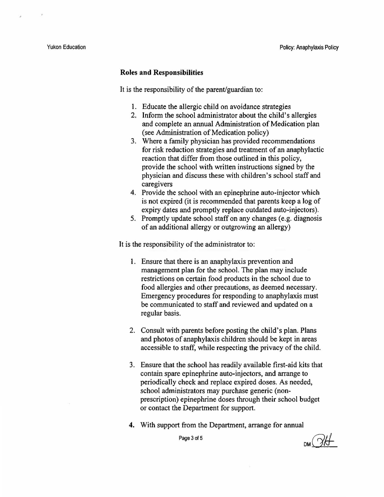## Roles **and** Responsibilities

It is the responsibility of the parent/guardian to:

- I. Educate the allergic child on avoidance strategies
- 2. Inform the school administrator about the child's allergies and complete an annual Administration of Medication plan (see Administration of Medication policy)
- 3. Where a family physician has provided recommendations for risk reduction strategies and treatment of an anaphylactic reaction that differ from those outlined in this policy, provide the school with written instructions signed by the physician and discuss these with children's school staff and caregivers
- 4. Provide the school with an epinephrine auto-injector which is not expired (it is recommended that parents keep a log of expiry dates and promptly replace outdated auto-injectors).
- 5. Promptly update school staff on any changes (e.g. diagnosis of an additional allergy or outgrowing an allergy)

It is the responsibility of the administrator to:

- I. Ensure that there is an anaphylaxis prevention and management plan for the school. The plan may include restrictions on certain food products in the school due to food allergies and other precautions, as deemed necessary. Emergency procedures for responding to anaphylaxis must be communicated to staff and reviewed and updated on a regular basis.
- 2. Consult with parents before posting the child's plan. Plans and photos of anaphylaxis children should be kept in areas accessible to staff, while respecting the privacy of the child.
- 3. Ensure that the school has readily available first-aid kits that contain spare epinephrine auto-injectors, and arrange to periodically check and replace expired doses. As needed, school administrators may purchase generic (nonprescription) epinephrine doses through their school budget or contact the Department for support.
- 4. With support from the Department, arrange for annual

Page 3 of 5

 $\mathcal{H}$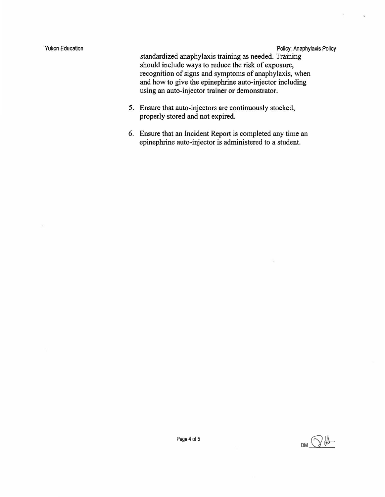### Yukon Education **Policy:** Anaphylaxis Policy

standardized anaphylaxis training as needed. Training should include ways to reduce the risk of exposure, recognition of signs and symptoms of anaphylaxis, when and how to give the epinephrine auto-injector including using an auto-injector trainer or demonstrator.

- 5. Ensure that auto-injectors are continuously stocked, properly stored and not expired.
- 6. Ensure that an Incident Report is completed any time an epinephrine auto-injector is administered to a student.

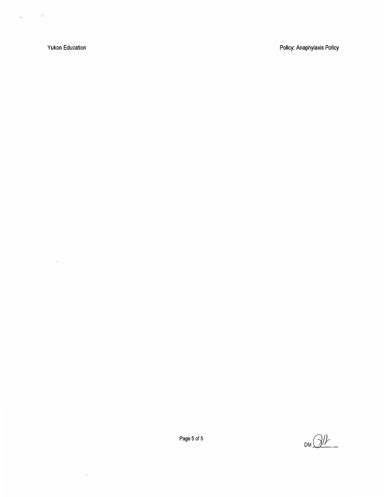$\mathcal{O}(\mathcal{O}_\mathcal{C})$  . The set of  $\mathcal{O}(\mathcal{O}_\mathcal{C})$ 

 $\tilde{R}$  and  $\tilde{R}$ 

 $\mathcal{L}^{\text{max}}$ 

Yukon Education **Policy:** Anaphylaxis Policy: Anaphylaxis Policy: Anaphylaxis Policy

 $DM^{QII}$